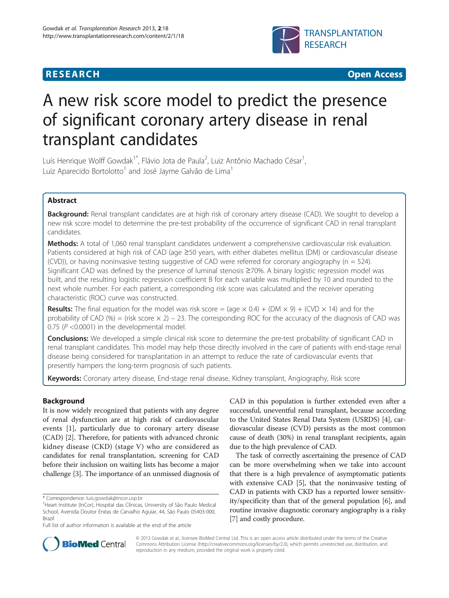

**RESEARCH CHE CHE Open Access** 

# A new risk score model to predict the presence of significant coronary artery disease in renal transplant candidates

Luís Henrique Wolff Gowdak<sup>1\*</sup>, Flávio Jota de Paula<sup>2</sup>, Luiz Antônio Machado César<sup>1</sup> , Luiz Aparecido Bortolotto<sup>1</sup> and José Jayme Galvão de Lima<sup>1</sup>

# Abstract

Background: Renal transplant candidates are at high risk of coronary artery disease (CAD). We sought to develop a new risk score model to determine the pre-test probability of the occurrence of significant CAD in renal transplant candidates.

Methods: A total of 1,060 renal transplant candidates underwent a comprehensive cardiovascular risk evaluation. Patients considered at high risk of CAD (age ≥50 years, with either diabetes mellitus (DM) or cardiovascular disease (CVD)), or having noninvasive testing suggestive of CAD were referred for coronary angiography (n = 524). Significant CAD was defined by the presence of luminal stenosis ≥70%. A binary logistic regression model was built, and the resulting logistic regression coefficient B for each variable was multiplied by 10 and rounded to the next whole number. For each patient, a corresponding risk score was calculated and the receiver operating characteristic (ROC) curve was constructed.

**Results:** The final equation for the model was risk score = (age  $\times$  0.4) + (DM  $\times$  9) + (CVD  $\times$  14) and for the probability of CAD (%) = (risk score  $\times$  2) – 23. The corresponding ROC for the accuracy of the diagnosis of CAD was 0.75 (P <0.0001) in the developmental model.

Conclusions: We developed a simple clinical risk score to determine the pre-test probability of significant CAD in renal transplant candidates. This model may help those directly involved in the care of patients with end-stage renal disease being considered for transplantation in an attempt to reduce the rate of cardiovascular events that presently hampers the long-term prognosis of such patients.

Keywords: Coronary artery disease, End-stage renal disease, Kidney transplant, Angiography, Risk score

# Background

It is now widely recognized that patients with any degree of renal dysfunction are at high risk of cardiovascular events [[1\]](#page-6-0), particularly due to coronary artery disease (CAD) [\[2\]](#page-6-0). Therefore, for patients with advanced chronic kidney disease (CKD) (stage V) who are considered as candidates for renal transplantation, screening for CAD before their inclusion on waiting lists has become a major challenge [[3\]](#page-6-0). The importance of an unmissed diagnosis of CAD in this population is further extended even after a successful, uneventful renal transplant, because according to the United States Renal Data System (USRDS) [[4\]](#page-6-0), cardiovascular disease (CVD) persists as the most common cause of death (30%) in renal transplant recipients, again due to the high prevalence of CAD.

The task of correctly ascertaining the presence of CAD can be more overwhelming when we take into account that there is a high prevalence of asymptomatic patients with extensive CAD [\[5](#page-6-0)], that the noninvasive testing of CAD in patients with CKD has a reported lower sensitivity/specificity than that of the general population [\[6](#page-7-0)], and routine invasive diagnostic coronary angiography is a risky [[7\]](#page-7-0) and costly procedure.



© 2013 Gowdak et al.; licensee BioMed Central Ltd. This is an open access article distributed under the terms of the Creative Commons Attribution License [\(http://creativecommons.org/licenses/by/2.0\)](http://creativecommons.org/licenses/by/2.0), which permits unrestricted use, distribution, and reproduction in any medium, provided the original work is properly cited.

<sup>\*</sup> Correspondence: [luis.gowdak@incor.usp.br](mailto:luis.gowdak@incor.usp.br) <sup>1</sup>

<sup>&</sup>lt;sup>1</sup>Heart Institute (InCor), Hospital das Clínicas, University of São Paulo Medical School, Avenida Doutor Enéas de Carvalho Aguiar, 44, São Paulo 05403-000, Brazil

Full list of author information is available at the end of the article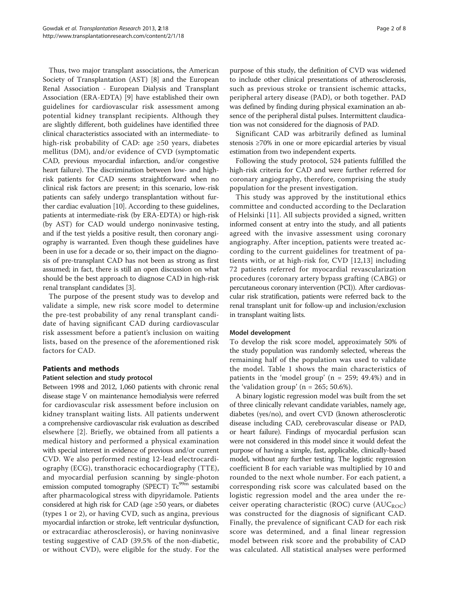Thus, two major transplant associations, the American Society of Transplantation (AST) [\[8](#page-7-0)] and the European Renal Association - European Dialysis and Transplant Association (ERA-EDTA) [[9](#page-7-0)] have established their own guidelines for cardiovascular risk assessment among potential kidney transplant recipients. Although they are slightly different, both guidelines have identified three clinical characteristics associated with an intermediate- to high-risk probability of CAD: age ≥50 years, diabetes mellitus (DM), and/or evidence of CVD (symptomatic CAD, previous myocardial infarction, and/or congestive heart failure). The discrimination between low- and highrisk patients for CAD seems straightforward when no clinical risk factors are present; in this scenario, low-risk patients can safely undergo transplantation without further cardiac evaluation [\[10\]](#page-7-0). According to these guidelines, patients at intermediate-risk (by ERA-EDTA) or high-risk (by AST) for CAD would undergo noninvasive testing, and if the test yields a positive result, then coronary angiography is warranted. Even though these guidelines have been in use for a decade or so, their impact on the diagnosis of pre-transplant CAD has not been as strong as first assumed; in fact, there is still an open discussion on what should be the best approach to diagnose CAD in high-risk renal transplant candidates [\[3\]](#page-6-0).

The purpose of the present study was to develop and validate a simple, new risk score model to determine the pre-test probability of any renal transplant candidate of having significant CAD during cardiovascular risk assessment before a patient's inclusion on waiting lists, based on the presence of the aforementioned risk factors for CAD.

# Patients and methods

# Patient selection and study protocol

Between 1998 and 2012, 1,060 patients with chronic renal disease stage V on maintenance hemodialysis were referred for cardiovascular risk assessment before inclusion on kidney transplant waiting lists. All patients underwent a comprehensive cardiovascular risk evaluation as described elsewhere [\[2](#page-6-0)]. Briefly, we obtained from all patients a medical history and performed a physical examination with special interest in evidence of previous and/or current CVD. We also performed resting 12-lead electrocardiography (ECG), transthoracic echocardiography (TTE), and myocardial perfusion scanning by single-photon emission computed tomography (SPECT)  $Tc^{99m}$  sestamibi after pharmacological stress with dipyridamole. Patients considered at high risk for CAD (age ≥50 years, or diabetes (types 1 or 2), or having CVD, such as angina, previous myocardial infarction or stroke, left ventricular dysfunction, or extracardiac atherosclerosis), or having noninvasive testing suggestive of CAD (39.5% of the non-diabetic, or without CVD), were eligible for the study. For the

purpose of this study, the definition of CVD was widened to include other clinical presentations of atherosclerosis, such as previous stroke or transient ischemic attacks, peripheral artery disease (PAD), or both together. PAD was defined by finding during physical examination an absence of the peripheral distal pulses. Intermittent claudication was not considered for the diagnosis of PAD.

Significant CAD was arbitrarily defined as luminal stenosis ≥70% in one or more epicardial arteries by visual estimation from two independent experts.

Following the study protocol, 524 patients fulfilled the high-risk criteria for CAD and were further referred for coronary angiography, therefore, comprising the study population for the present investigation.

This study was approved by the institutional ethics committee and conducted according to the Declaration of Helsinki [\[11](#page-7-0)]. All subjects provided a signed, written informed consent at entry into the study, and all patients agreed with the invasive assessment using coronary angiography. After inception, patients were treated according to the current guidelines for treatment of patients with, or at high-risk for, CVD [[12,13\]](#page-7-0) including 72 patients referred for myocardial revascularization procedures (coronary artery bypass grafting (CABG) or percutaneous coronary intervention (PCI)). After cardiovascular risk stratification, patients were referred back to the renal transplant unit for follow-up and inclusion/exclusion in transplant waiting lists.

# Model development

To develop the risk score model, approximately 50% of the study population was randomly selected, whereas the remaining half of the population was used to validate the model. Table [1](#page-2-0) shows the main characteristics of patients in the 'model group'  $(n = 259; 49.4%)$  and in the 'validation group' ( $n = 265$ ; 50.6%).

A binary logistic regression model was built from the set of three clinically relevant candidate variables, namely age, diabetes (yes/no), and overt CVD (known atherosclerotic disease including CAD, cerebrovascular disease or PAD, or heart failure). Findings of myocardial perfusion scan were not considered in this model since it would defeat the purpose of having a simple, fast, applicable, clinically-based model, without any further testing. The logistic regression coefficient B for each variable was multiplied by 10 and rounded to the next whole number. For each patient, a corresponding risk score was calculated based on the logistic regression model and the area under the receiver operating characteristic (ROC) curve ( $AUC_{ROC}$ ) was constructed for the diagnosis of significant CAD. Finally, the prevalence of significant CAD for each risk score was determined, and a final linear regression model between risk score and the probability of CAD was calculated. All statistical analyses were performed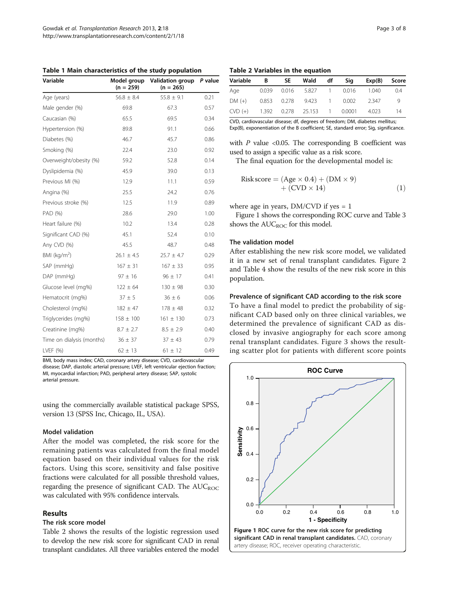<span id="page-2-0"></span>Table 1 Main characteristics of the study population

| Variable                  | Model group<br>$(n = 259)$ | Validation group<br>$(n = 265)$ | P value |
|---------------------------|----------------------------|---------------------------------|---------|
| Age (years)               | $56.8 \pm 8.4$             | $55.8 \pm 9.1$                  | 0.21    |
| Male gender (%)           | 69.8                       | 67.3                            | 0.57    |
| Caucasian (%)             | 65.5                       | 69.5                            | 0.34    |
| Hypertension (%)          | 89.8                       | 91.1                            | 0.66    |
| Diabetes (%)              | 46.7                       | 45.7                            | 0.86    |
| Smoking (%)               | 22.4                       | 23.0                            | 0.92    |
| Overweight/obesity (%)    | 59.2                       | 52.8                            | 0.14    |
| Dyslipidemia (%)          | 45.9                       | 39.0                            | 0.13    |
| Previous MI (%)           | 12.9                       | 11.1                            | 0.59    |
| Angina (%)                | 25.5                       | 24.2                            | 0.76    |
| Previous stroke (%)       | 12.5                       | 11.9                            | 0.89    |
| PAD (%)                   | 28.6                       | 29.0                            | 1.00    |
| Heart failure (%)         | 10.2                       | 13.4                            | 0.28    |
| Significant CAD (%)       | 45.1                       | 52.4                            | 0.10    |
| Any CVD (%)               | 45.5                       | 48.7                            | 0.48    |
| BMI ( $kg/m2$ )           | $26.1 \pm 4.5$             | $25.7 \pm 4.7$                  | 0.29    |
| SAP (mmHg)                | $167 \pm 31$               | $167 \pm 33$                    | 0.95    |
| DAP (mmHg)                | $97 \pm 16$                | $96 \pm 17$                     | 0.41    |
| Glucose level (mg%)       | $122 \pm 64$               | $130 \pm 98$                    | 0.30    |
| Hematocrit (mg%)          | $37 \pm 5$                 | $36 \pm 6$                      | 0.06    |
| Cholesterol (mg%)         | $182 \pm 47$               | $178 \pm 48$                    | 0.32    |
| Triglycerides (mg%)       | $158 \pm 100$              | $161 \pm 130$                   | 0.73    |
| Creatinine (mg%)          | $8.7 \pm 2.7$              | $8.5 \pm 2.9$                   | 0.40    |
| Time on dialysis (months) | $36 \pm 37$                | $37 \pm 43$                     | 0.79    |
| LVEF (%)                  | $62 \pm 13$                | $61 \pm 12$                     | 0.49    |

BMI, body mass index; CAD, coronary artery disease; CVD, cardiovascular disease; DAP, diastolic arterial pressure; LVEF, left ventricular ejection fraction; MI, myocardial infarction; PAD, peripheral artery disease; SAP, systolic arterial pressure.

using the commercially available statistical package SPSS, version 13 (SPSS Inc, Chicago, IL, USA).

#### Model validation

After the model was completed, the risk score for the remaining patients was calculated from the final model equation based on their individual values for the risk factors. Using this score, sensitivity and false positive fractions were calculated for all possible threshold values, regarding the presence of significant CAD. The  $AUC_{ROC}$ was calculated with 95% confidence intervals.

# Results

# The risk score model

Table 2 shows the results of the logistic regression used to develop the new risk score for significant CAD in renal transplant candidates. All three variables entered the model

### Table 2 Variables in the equation

| Variable                                    | В | SE <b>SE</b> | Wald df                         | Sig | Exp(B) Score |     |
|---------------------------------------------|---|--------------|---------------------------------|-----|--------------|-----|
| Age                                         |   |              | 0.039 0.016 5.827 1 0.016 1.040 |     |              | 0.4 |
| $DM (+)$                                    |   |              | 0.853 0.278 9.423 1 0.002 2.347 |     |              |     |
| $CVD (+)$ 1.392 0.278 25.153 1 0.0001 4.023 |   |              |                                 |     |              | 14  |

CVD, cardiovascular disease; df, degrees of freedom; DM, diabetes mellitus; Exp(B), exponentiation of the B coefficient; SE, standard error; Sig, significance.

with  $P$  value <0.05. The corresponding B coefficient was used to assign a specific value as a risk score.

The final equation for the developmental model is:

Risk score = 
$$
(Age \times 0.4) + (DM \times 9)
$$
  
+  $(CVD \times 14)$  (1)

where age in years,  $DM/CVD$  if yes = 1

Figure 1 shows the corresponding ROC curve and Table [3](#page-3-0) shows the  $AUC_{ROC}$  for this model.

# The validation model

After establishing the new risk score model, we validated it in a new set of renal transplant candidates. Figure [2](#page-3-0) and Table [4](#page-3-0) show the results of the new risk score in this population.

### Prevalence of significant CAD according to the risk score

To have a final model to predict the probability of significant CAD based only on three clinical variables, we determined the prevalence of significant CAD as disclosed by invasive angiography for each score among renal transplant candidates. Figure [3](#page-4-0) shows the resulting scatter plot for patients with different score points

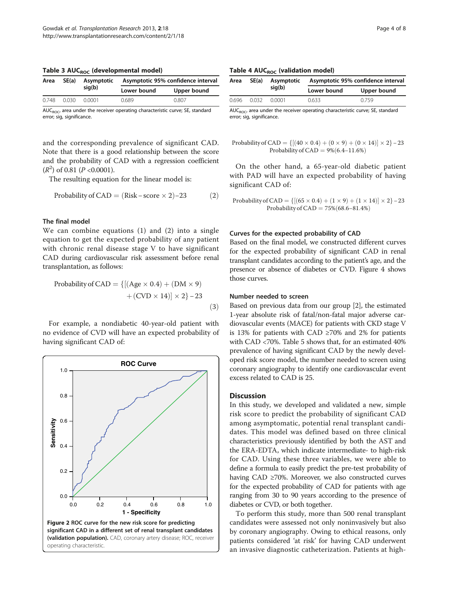<span id="page-3-0"></span>Table 3  $AUC_{ROC}$  (developmental model)

| Area  | SE(a) | Asymptotic<br>sig(b) | Asymptotic 95% confidence interval |             |  |  |
|-------|-------|----------------------|------------------------------------|-------------|--|--|
|       |       |                      | Lower bound                        | Upper bound |  |  |
| 0.748 | 0030  | 0.0001               | 0.689                              | 0.807       |  |  |

AUC<sub>ROC</sub>, area under the receiver operating characteristic curve; SE, standard error; sig, significance.

and the corresponding prevalence of significant CAD. Note that there is a good relationship between the score and the probability of CAD with a regression coefficient  $(R^2)$  of 0.81 (P < 0.0001).

The resulting equation for the linear model is:

Probability of CAD = (Risk-score 
$$
\times 2
$$
)-23 (2)

#### The final model

We can combine equations ([1\)](#page-2-0) and (2) into a single equation to get the expected probability of any patient with chronic renal disease stage V to have significant CAD during cardiovascular risk assessment before renal transplantation, as follows:

Probability of CAD = 
$$
\{[(Age \times 0.4) + (DM \times 9) + (CVD \times 14)] \times 2\} - 23
$$
 (3)

For example, a nondiabetic 40-year-old patient with no evidence of CVD will have an expected probability of having significant CAD of:



Table 4  $AUC_{ROC}$  (validation model)

| Area  | SE(a) | Asymptotic<br>sig(b) | Asymptotic 95% confidence interval |             |  |  |
|-------|-------|----------------------|------------------------------------|-------------|--|--|
|       |       |                      | Lower bound                        | Upper bound |  |  |
| 0.696 | 0032  | 0.0001               | 0.633                              | 0759        |  |  |

 $AUC_{ROC}$ , area under the receiver operating characteristic curve; SE, standard error; sig, significance.

Probability of CAD =  $\{[(40 \times 0.4) + (0 \times 9) + (0 \times 14)] \times 2\}$  - 23<br>Probability of CAD = 9% (6.4–11.6%) Probability of CAD =  $9\%(6.4-11.6\%)$ 

On the other hand, a 65-year-old diabetic patient with PAD will have an expected probability of having significant CAD of:

Probability of CAD =  $\{[(65 \times 0.4) + (1 \times 9) + (1 \times 14)] \times 2\}$  - 23<br>Probability of CAD – 75% (68.6–81.4%) Probability of CAD =  $75\%(68.6-81.4%)$ 

# Curves for the expected probability of CAD

Based on the final model, we constructed different curves for the expected probability of significant CAD in renal transplant candidates according to the patient's age, and the presence or absence of diabetes or CVD. Figure [4](#page-5-0) shows those curves.

### Number needed to screen

Based on previous data from our group [\[2](#page-6-0)], the estimated 1-year absolute risk of fatal/non-fatal major adverse cardiovascular events (MACE) for patients with CKD stage V is 13% for patients with CAD ≥70% and 2% for patients with CAD <70%. Table [5](#page-5-0) shows that, for an estimated 40% prevalence of having significant CAD by the newly developed risk score model, the number needed to screen using coronary angiography to identify one cardiovascular event excess related to CAD is 25.

#### **Discussion**

In this study, we developed and validated a new, simple risk score to predict the probability of significant CAD among asymptomatic, potential renal transplant candidates. This model was defined based on three clinical characteristics previously identified by both the AST and the ERA-EDTA, which indicate intermediate- to high-risk for CAD. Using these three variables, we were able to define a formula to easily predict the pre-test probability of having CAD ≥70%. Moreover, we also constructed curves for the expected probability of CAD for patients with age ranging from 30 to 90 years according to the presence of diabetes or CVD, or both together.

To perform this study, more than 500 renal transplant candidates were assessed not only noninvasively but also by coronary angiography. Owing to ethical reasons, only patients considered 'at risk' for having CAD underwent an invasive diagnostic catheterization. Patients at high-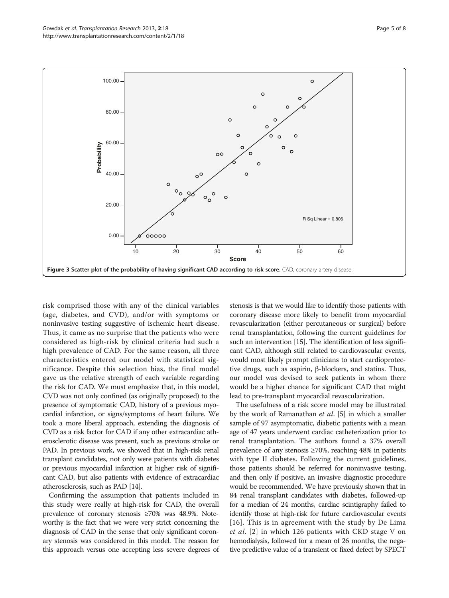<span id="page-4-0"></span>

risk comprised those with any of the clinical variables (age, diabetes, and CVD), and/or with symptoms or noninvasive testing suggestive of ischemic heart disease. Thus, it came as no surprise that the patients who were considered as high-risk by clinical criteria had such a high prevalence of CAD. For the same reason, all three characteristics entered our model with statistical significance. Despite this selection bias, the final model gave us the relative strength of each variable regarding the risk for CAD. We must emphasize that, in this model, CVD was not only confined (as originally proposed) to the presence of symptomatic CAD, history of a previous myocardial infarction, or signs/symptoms of heart failure. We took a more liberal approach, extending the diagnosis of CVD as a risk factor for CAD if any other extracardiac atherosclerotic disease was present, such as previous stroke or PAD. In previous work, we showed that in high-risk renal transplant candidates, not only were patients with diabetes or previous myocardial infarction at higher risk of significant CAD, but also patients with evidence of extracardiac atherosclerosis, such as PAD [\[14\]](#page-7-0).

Confirming the assumption that patients included in this study were really at high-risk for CAD, the overall prevalence of coronary stenosis ≥70% was 48.9%. Noteworthy is the fact that we were very strict concerning the diagnosis of CAD in the sense that only significant coronary stenosis was considered in this model. The reason for this approach versus one accepting less severe degrees of

stenosis is that we would like to identify those patients with coronary disease more likely to benefit from myocardial revascularization (either percutaneous or surgical) before renal transplantation, following the current guidelines for such an intervention [[15](#page-7-0)]. The identification of less significant CAD, although still related to cardiovascular events, would most likely prompt clinicians to start cardioprotective drugs, such as aspirin, β-blockers, and statins. Thus, our model was devised to seek patients in whom there would be a higher chance for significant CAD that might lead to pre-transplant myocardial revascularization.

The usefulness of a risk score model may be illustrated by the work of Ramanathan et al. [[5\]](#page-6-0) in which a smaller sample of 97 asymptomatic, diabetic patients with a mean age of 47 years underwent cardiac catheterization prior to renal transplantation. The authors found a 37% overall prevalence of any stenosis ≥70%, reaching 48% in patients with type II diabetes. Following the current guidelines, those patients should be referred for noninvasive testing, and then only if positive, an invasive diagnostic procedure would be recommended. We have previously shown that in 84 renal transplant candidates with diabetes, followed-up for a median of 24 months, cardiac scintigraphy failed to identify those at high-risk for future cardiovascular events [[16](#page-7-0)]. This is in agreement with the study by De Lima et al. [[2](#page-6-0)] in which 126 patients with CKD stage V on hemodialysis, followed for a mean of 26 months, the negative predictive value of a transient or fixed defect by SPECT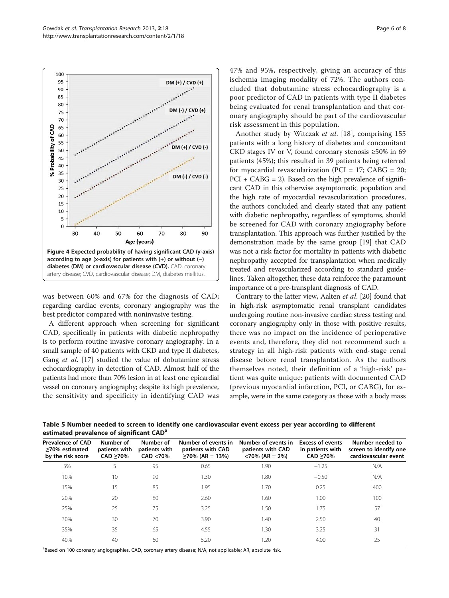<span id="page-5-0"></span>

was between 60% and 67% for the diagnosis of CAD; regarding cardiac events, coronary angiography was the best predictor compared with noninvasive testing.

A different approach when screening for significant CAD, specifically in patients with diabetic nephropathy is to perform routine invasive coronary angiography. In a small sample of 40 patients with CKD and type II diabetes, Gang et al. [\[17\]](#page-7-0) studied the value of dobutamine stress echocardiography in detection of CAD. Almost half of the patients had more than 70% lesion in at least one epicardial vessel on coronary angiography; despite its high prevalence, the sensitivity and specificity in identifying CAD was 47% and 95%, respectively, giving an accuracy of this ischemia imaging modality of 72%. The authors concluded that dobutamine stress echocardiography is a poor predictor of CAD in patients with type II diabetes being evaluated for renal transplantation and that coronary angiography should be part of the cardiovascular risk assessment in this population.

Another study by Witczak et al. [\[18](#page-7-0)], comprising 155 patients with a long history of diabetes and concomitant CKD stages IV or V, found coronary stenosis ≥50% in 69 patients (45%); this resulted in 39 patients being referred for myocardial revascularization (PCI = 17;  $CABG = 20$ ;  $PCI + CABG = 2$ ). Based on the high prevalence of significant CAD in this otherwise asymptomatic population and the high rate of myocardial revascularization procedures, the authors concluded and clearly stated that any patient with diabetic nephropathy, regardless of symptoms, should be screened for CAD with coronary angiography before transplantation. This approach was further justified by the demonstration made by the same group [[19](#page-7-0)] that CAD was not a risk factor for mortality in patients with diabetic nephropathy accepted for transplantation when medically treated and revascularized according to standard guidelines. Taken altogether, these data reinforce the paramount importance of a pre-transplant diagnosis of CAD.

Contrary to the latter view, Aalten et al. [[20](#page-7-0)] found that in high-risk asymptomatic renal transplant candidates undergoing routine non-invasive cardiac stress testing and coronary angiography only in those with positive results, there was no impact on the incidence of perioperative events and, therefore, they did not recommend such a strategy in all high-risk patients with end-stage renal disease before renal transplantation. As the authors themselves noted, their definition of a 'high-risk' patient was quite unique: patients with documented CAD (previous myocardial infarction, PCI, or CABG), for example, were in the same category as those with a body mass

Table 5 Number needed to screen to identify one cardiovascular event excess per year according to different estimated prevalence of significant CAD<sup>a</sup>

| <b>Prevalence of CAD</b><br>>70% estimated<br>by the risk score | Number of<br>patients with<br>CAD >70% | Number of<br>patients with<br>CAD <70% | Number of events in<br>patients with CAD<br>$\geq$ 70% (AR = 13%) | Number of events in<br>patients with CAD<br>$< 70\%$ (AR = 2%) | <b>Excess of events</b><br>in patients with<br>CAD >70% | Number needed to<br>screen to identify one<br>cardiovascular event |
|-----------------------------------------------------------------|----------------------------------------|----------------------------------------|-------------------------------------------------------------------|----------------------------------------------------------------|---------------------------------------------------------|--------------------------------------------------------------------|
| 5%                                                              |                                        | 95                                     | 0.65                                                              | 1.90                                                           | $-1.25$                                                 | N/A                                                                |
| 10%                                                             | 10                                     | 90                                     | 1.30                                                              | 1.80                                                           | $-0.50$                                                 | N/A                                                                |
| 15%                                                             | 15                                     | 85                                     | 1.95                                                              | 1.70                                                           | 0.25                                                    | 400                                                                |
| 20%                                                             | 20                                     | 80                                     | 2.60                                                              | 1.60                                                           | 1.00                                                    | 100                                                                |
| 25%                                                             | 25                                     | 75                                     | 3.25                                                              | 1.50                                                           | 1.75                                                    | 57                                                                 |
| 30%                                                             | 30                                     | 70                                     | 3.90                                                              | 1.40                                                           | 2.50                                                    | 40                                                                 |
| 35%                                                             | 35                                     | 65                                     | 4.55                                                              | 1.30                                                           | 3.25                                                    | 31                                                                 |
| 40%                                                             | 40                                     | 60                                     | 5.20                                                              | 1.20                                                           | 4.00                                                    | 25                                                                 |

<sup>a</sup>Based on 100 coronary angiographies. CAD, coronary artery disease; N/A, not applicable; AR, absolute risk.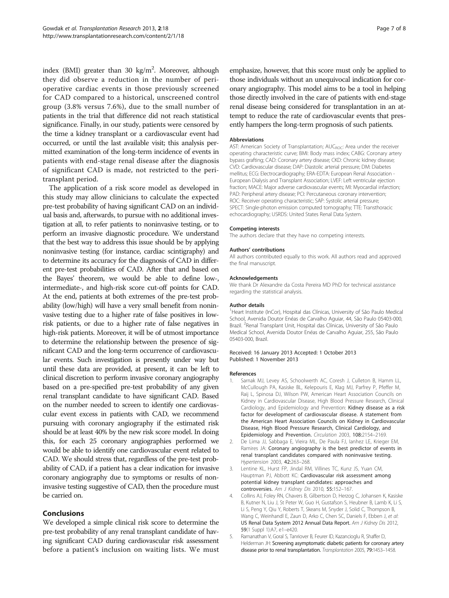<span id="page-6-0"></span>index (BMI) greater than 30 kg/m<sup>2</sup>. Moreover, although they did observe a reduction in the number of perioperative cardiac events in those previously screened for CAD compared to a historical, unscreened control group (3.8% versus 7.6%), due to the small number of patients in the trial that difference did not reach statistical significance. Finally, in our study, patients were censored by the time a kidney transplant or a cardiovascular event had occurred, or until the last available visit; this analysis permitted examination of the long-term incidence of events in patients with end-stage renal disease after the diagnosis of significant CAD is made, not restricted to the peritransplant period.

The application of a risk score model as developed in this study may allow clinicians to calculate the expected pre-test probability of having significant CAD on an individual basis and, afterwards, to pursue with no additional investigation at all, to refer patients to noninvasive testing, or to perform an invasive diagnostic procedure. We understand that the best way to address this issue should be by applying noninvasive testing (for instance, cardiac scintigraphy) and to determine its accuracy for the diagnosis of CAD in different pre-test probabilities of CAD. After that and based on the Bayes' theorem, we would be able to define low-, intermediate-, and high-risk score cut-off points for CAD. At the end, patients at both extremes of the pre-test probability (low/high) will have a very small benefit from noninvasive testing due to a higher rate of false positives in lowrisk patients, or due to a higher rate of false negatives in high-risk patients. Moreover, it will be of utmost importance to determine the relationship between the presence of significant CAD and the long-term occurrence of cardiovascular events. Such investigation is presently under way but until these data are provided, at present, it can be left to clinical discretion to perform invasive coronary angiography based on a pre-specified pre-test probability of any given renal transplant candidate to have significant CAD. Based on the number needed to screen to identify one cardiovascular event excess in patients with CAD, we recommend pursuing with coronary angiography if the estimated risk should be at least 40% by the new risk score model. In doing this, for each 25 coronary angiographies performed we would be able to identify one cardiovascular event related to CAD. We should stress that, regardless of the pre-test probability of CAD, if a patient has a clear indication for invasive coronary angiography due to symptoms or results of noninvasive testing suggestive of CAD, then the procedure must be carried on.

# Conclusions

We developed a simple clinical risk score to determine the pre-test probability of any renal transplant candidate of having significant CAD during cardiovascular risk assessment before a patient's inclusion on waiting lists. We must emphasize, however, that this score must only be applied to those individuals without an unequivocal indication for coronary angiography. This model aims to be a tool in helping those directly involved in the care of patients with end-stage renal disease being considered for transplantation in an attempt to reduce the rate of cardiovascular events that presently hampers the long-term prognosis of such patients.

#### Abbreviations

AST: American Society of Transplantation; AUC<sub>ROC</sub>: Area under the receiver operating characteristic curve; BMI: Body mass index; CABG: Coronary artery bypass grafting; CAD: Coronary artery disease; CKD: Chronic kidney disease; CVD: Cardiovascular disease; DAP: Diastolic arterial pressure; DM: Diabetes mellitus; ECG: Electrocardiography; ERA-EDTA: European Renal Association - European Dialysis and Transplant Association; LVEF: Left ventricular ejection fraction; MACE: Major adverse cardiovascular events; MI: Myocardial infarction; PAD: Peripheral artery disease; PCI: Percutaneous coronary intervention; ROC: Receiver operating characteristic; SAP: Systolic arterial pressure; SPECT: Single-photon emission computed tomography; TTE: Transthoracic echocardiography; USRDS: United States Renal Data System.

#### Competing interests

The authors declare that they have no competing interests.

#### Authors' contributions

All authors contributed equally to this work. All authors read and approved the final manuscript.

#### Acknowledgements

We thank Dr Alexandre da Costa Pereira MD PhD for technical assistance regarding the statistical analysis.

#### Author details

<sup>1</sup>Heart Institute (InCor), Hospital das Clínicas, University of São Paulo Medical School, Avenida Doutor Enéas de Carvalho Aguiar, 44, São Paulo 05403-000, Brazil. <sup>2</sup> Renal Transplant Unit, Hospital das Clínicas, University of São Paulo Medical School, Avenida Doutor Enéas de Carvalho Aguiar, 255, São Paulo 05403-000, Brazil.

#### Received: 16 January 2013 Accepted: 1 October 2013 Published: 1 November 2013

#### References

- Sarnak MJ, Levey AS, Schoolwerth AC, Coresh J, Culleton B, Hamm LL, McCullough PA, Kasiske BL, Kelepouris E, Klag MJ, Parfrey P, Pfeffer M, Raij L, Spinosa DJ, Wilson PW, American Heart Association Councils on Kidney in Cardiovascular Disease, High Blood Pressure Research, Clinical Cardiology, and Epidemiology and Prevention: Kidney disease as a risk factor for development of cardiovascular disease. A statement from the American Heart Association Councils on Kidney in Cardiovascular Disease, High Blood Pressure Research, Clinical Cardiology, and Epidemiology and Prevention. Circulation 2003, 108:2154–2169.
- 2. De Lima JJ, Sabbaga E, Vieira ML, De Paula FJ, Ianhez LE, Krieger EM, Ramires JA: Coronary angiography is the best predictor of events in renal transplant candidates compared with noninvasive testing. Hypertension 2003, 42:263–268.
- 3. Lentine KL, Hurst FP, Jindal RM, Villines TC, Kunz JS, Yuan CM, Hauptman PJ, Abbott KC: Cardiovascular risk assessment among potential kidney transplant candidates: approaches and controversies. Am J Kidney Dis 2010, 55:152–167.
- 4. Collins AJ, Foley RN, Chavers B, Gilbertson D, Herzog C, Johansen K, Kasiske B, Kutner N, Liu J, St Peter W, Guo H, Gustafson S, Heubner B, Lamb K, Li S, Li S, Peng Y, Qiu Y, Roberts T, Skeans M, Snyder J, Solid C, Thompson B, Wang C, Weinhandl E, Zaun D, Arko C, Chen SC, Daniels F, Ebben J, et al: US Renal Data System 2012 Annual Data Report. Am J Kidney Dis 2012, 59(1 Suppl 1):A7, e1–e420.
- 5. Ramanathan V, Goral S, Tanriover B, Feurer ID, Kazancioglu R, Shaffer D, Helderman JH: Screening asymptomatic diabetic patients for coronary artery disease prior to renal transplantation. Transplantation 2005, 79:1453–1458.